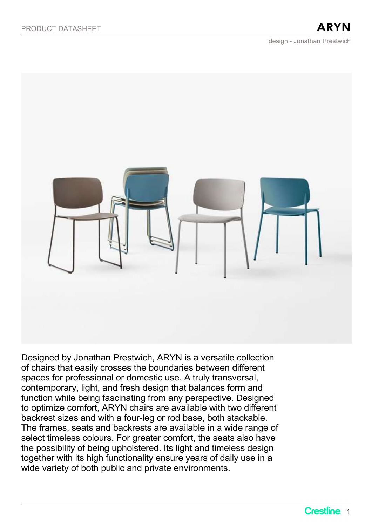design - Jonathan Prestwich



Designed by Jonathan Prestwich, ARYN is a versatile collection of chairs that easily crosses the boundaries between different spaces for professional or domestic use. A truly transversal, contemporary, light, and fresh design that balances form and function while being fascinating from any perspective. Designed to optimize comfort, ARYN chairs are available with two different backrest sizes and with a four-leg or rod base, both stackable. The frames, seats and backrests are available in a wide range of select timeless colours. For greater comfort, the seats also have the possibility of being upholstered. Its light and timeless design together with its high functionality ensure years of daily use in a wide variety of both public and private environments.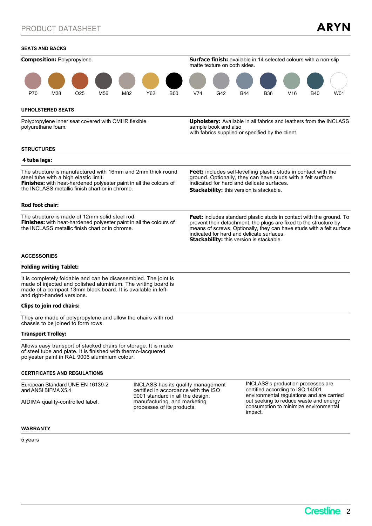### SEATS AND BACKS

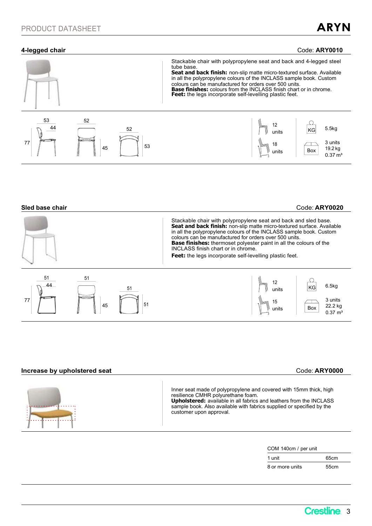## 4-legged chair Code: ARY0010



### Sled base chair Code: ARY0020

|                |                | Stackable chair with polypropylene seat and back and sled base.<br>Seat and back finish: non-slip matte micro-textured surface. Available<br>in all the polypropylene colours of the INCLASS sample book. Custom<br>colours can be manufactured for orders over 500 units.<br><b>Base finishes:</b> thermoset polyester paint in all the colours of the<br>INCLASS finish chart or in chrome.<br>Feet: the legs incorporate self-levelling plastic feet. |
|----------------|----------------|----------------------------------------------------------------------------------------------------------------------------------------------------------------------------------------------------------------------------------------------------------------------------------------------------------------------------------------------------------------------------------------------------------------------------------------------------------|
| 51<br>44<br>77 | 51<br>51<br>45 | 6.5kg<br>units<br>3 units<br>22.2 kg<br>Box<br>units<br>$0.37 \; \text{m}^3$                                                                                                                                                                                                                                                                                                                                                                             |

# Increase by upholstered seat Code: ARY0000

| Inner seat made of polypropylene and covered with 15mm thick, high<br><b>Upholstered:</b> available in all fabrics and leathers from the INCLASS<br>sample book. Also available with fabrics supplied or specified by the |
|---------------------------------------------------------------------------------------------------------------------------------------------------------------------------------------------------------------------------|
|                                                                                                                                                                                                                           |

 $\mathbf{I}$ 

COM 140cm / per unit